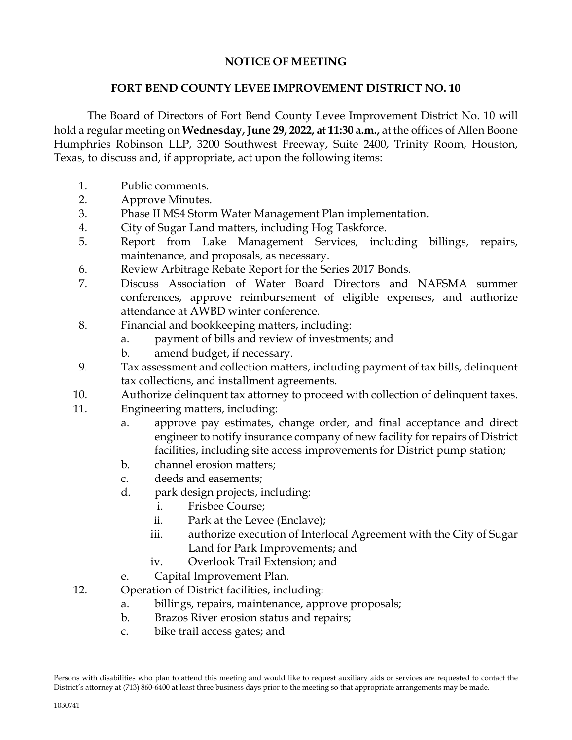## **NOTICE OF MEETING**

## **FORT BEND COUNTY LEVEE IMPROVEMENT DISTRICT NO. 10**

The Board of Directors of Fort Bend County Levee Improvement District No. 10 will hold a regular meeting on **Wednesday, June 29, 2022, at 11:30 a.m.,** at the offices of Allen Boone Humphries Robinson LLP, 3200 Southwest Freeway, Suite 2400, Trinity Room, Houston, Texas, to discuss and, if appropriate, act upon the following items:

- 1. Public comments.
- 2. Approve Minutes.
- 3. Phase II MS4 Storm Water Management Plan implementation.
- 4. City of Sugar Land matters, including Hog Taskforce.
- 5. Report from Lake Management Services, including billings, repairs, maintenance, and proposals, as necessary.
- 6. Review Arbitrage Rebate Report for the Series 2017 Bonds.
- 7. Discuss Association of Water Board Directors and NAFSMA summer conferences, approve reimbursement of eligible expenses, and authorize attendance at AWBD winter conference.
- 8. Financial and bookkeeping matters, including:
	- a. payment of bills and review of investments; and
	- b. amend budget, if necessary.
- 9. Tax assessment and collection matters, including payment of tax bills, delinquent tax collections, and installment agreements.
- 10. Authorize delinquent tax attorney to proceed with collection of delinquent taxes.
- 11. Engineering matters, including:
	- a. approve pay estimates, change order, and final acceptance and direct engineer to notify insurance company of new facility for repairs of District facilities, including site access improvements for District pump station;
	- b. channel erosion matters;
	- c. deeds and easements;
	- d. park design projects, including:
		- i. Frisbee Course;
		- ii. Park at the Levee (Enclave);
		- iii. authorize execution of Interlocal Agreement with the City of Sugar Land for Park Improvements; and
		- iv. Overlook Trail Extension; and
	- e. Capital Improvement Plan.
- 12. Operation of District facilities, including:
	- a. billings, repairs, maintenance, approve proposals;
	- b. Brazos River erosion status and repairs;
	- c. bike trail access gates; and